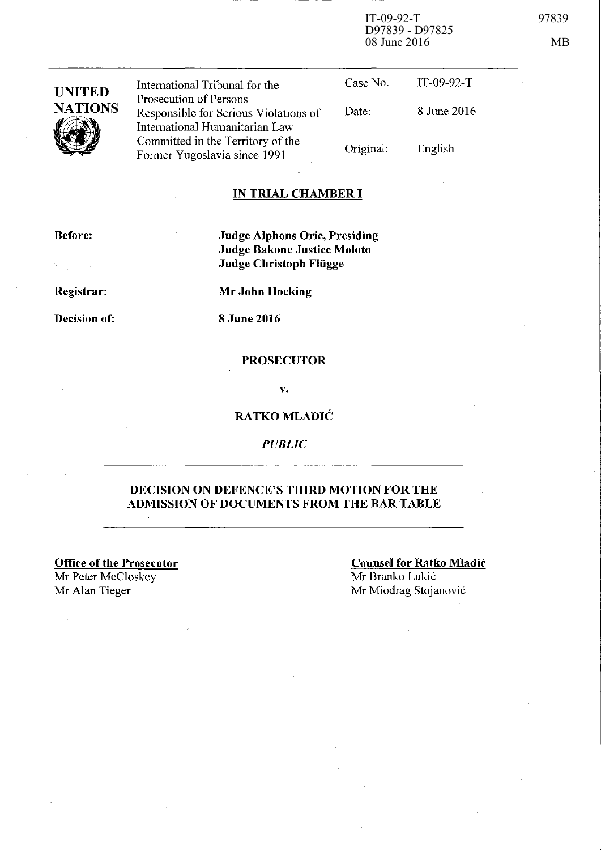IT-09-92-T 97839 D97839 - D97825 08 June 2016 MB

| <b>UNITED</b><br><b>NATIONS</b> | International Tribunal for the                                                                    | Case No.  | $IT-09-92-T$ |  |
|---------------------------------|---------------------------------------------------------------------------------------------------|-----------|--------------|--|
|                                 | Prosecution of Persons<br>Responsible for Serious Violations of<br>International Humanitarian Law | Date:     | 8 June 2016  |  |
|                                 | Committed in the Territory of the<br>Former Yugoslavia since 1991                                 | Original: | English      |  |
|                                 |                                                                                                   |           |              |  |

## **IN TRIAL CHAMBER I**

**Before:** 

**Judge Alphons Orie, Presiding Judge Bakone Justice Moloto Judge Christoph Fliigge** 

**Registrar:** 

 $\sim$   $\sim$ 

**Decision of:** 

**Mr John Hocking** 

**8 June 2016** 

#### **PROSECUTOR**

v.

### **RATKO MLADIC**

*PUBLIC* 

### **DECISION ON DEFENCE'S THIRD MOTION FOR THE ADMISSION OF DOCUMENTS FROM THE BAR TABLE**

**Office of the Prosecutor**  Mr Peter McCloskey

**Couusel for Ratko Mladic**  Mr Branko Lukić

Mr Alan Tieger Mr Miodrag Stojanović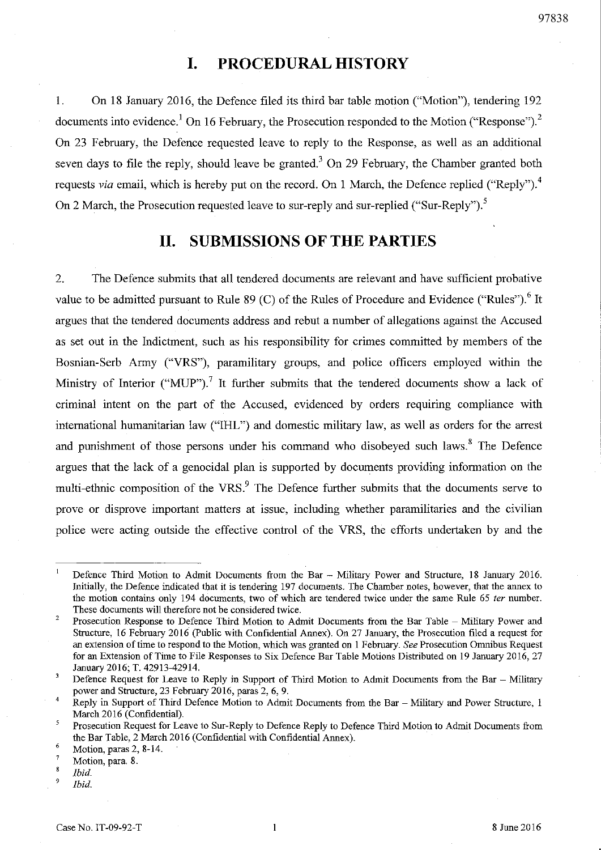### 97838

# **I. PROCEDURAL HISTORY**

1. On 18 January 2016, the Defence filed its third bar table motion ("Motion"), tendering 192 documents into evidence.<sup>1</sup> On 16 February, the Prosecution responded to the Motion ("Response").<sup>2</sup> On 23 February, the Defence requested leave to reply to the Response, as well as an additional seven days to file the reply, should leave be granted.<sup>3</sup> On 29 February, the Chamber granted both requests via email, which is hereby put on the record. On 1 March, the Defence replied ("Reply").<sup>4</sup> On 2 March, the Prosecution requested leave to sur-reply and sur-replied ("Sur-Reply").<sup>5</sup>

# **11. SUBMISSIONS OF THE PARTIES**

2. The Defence submits that all tendered documents are relevant and have sufficient probative value to be admitted pursuant to Rule 89 (C) of the Rules of Procedure and Evidence ("Rules").<sup>6</sup> It argues that the tendered documents address and rebut a number of allegations against the Accused as set out in tbe Indictment, such as his responsibility for crimes committed by members of the Bosnian-Serb Army ("VRS"), paramilitary groups, and police officers employed within the Ministry of Interior ("MUP").<sup>7</sup> It further submits that the tendered documents show a lack of criminal intent on the part of the Accused, evidenced by orders requiring compliance with international humanitarian law ("IHL") and domestic military law, as well as orders for the arrest and punishment of those persons under his command who disobeyed such laws.<sup>8</sup> The Defence argues that the lack of a genocidal plan is supported by documents providing infonnation on the multi-ethnic composition of the VRS.<sup>9</sup> The Defence further submits that the documents serve to prove or disprove important matters at issue, including whether paramilitaries and the civilian police were acting outside the effective control of the VRS, the efforts undertaken by and the

 $\mathbf{1}$ Defence Third Motion to Admit Documents from the Bar - Military Power and Structure, 18 January 2016. Initially, the Defence indicated that it is tendering 197 documents. The Chamber notes, however, that the annex to the motion contains only 194 documents, two of which are tendered twice under the same Rule 65 *ter* number. **These documents will therefore not be considered twice.** 

<sup>2</sup>  Prosecution Response to Defence Third Motion to Admit Documents from the Bar Table - Military Power and Structure, 16 February 2016 (Public with Confidential Annex). On 27 January, the Prosecution filed a request for an extension of time to respond to the Motion, which was granted on 1 February. *See* Prosecution Omnibus Request for an Extension of Time to File Responses to Six Defence Bar Table Motions Distributed on 19 January 2016,27 January 2016; T. 42913-42914.

 $\overline{3}$ Defence Request for Leave to Reply in Support of Third Motion to Admit Documents from the Bar - Military power and Structure, 23 February 2016, paras 2, 6, 9.

<sup>4</sup>  Reply in Support of Third Defence Motion to Admit Documents from the Bar - Military and Power Structure, 1 March 2016 (Confidential).

 $\mathfrak s$ Prosecution Request for Leave to Sur-Reply to Defence Reply to Defence Third Motion to Admit Documents from the Bar Table, 2 March 2016 (Confidential with Confidential Annex).

<sup>6</sup>  Motion, paras 2, 8-14.

<sup>7</sup>  Motion, para. 8.

 $\overline{\mathbf{8}}$ *Ibid.*  9

*Ibid.*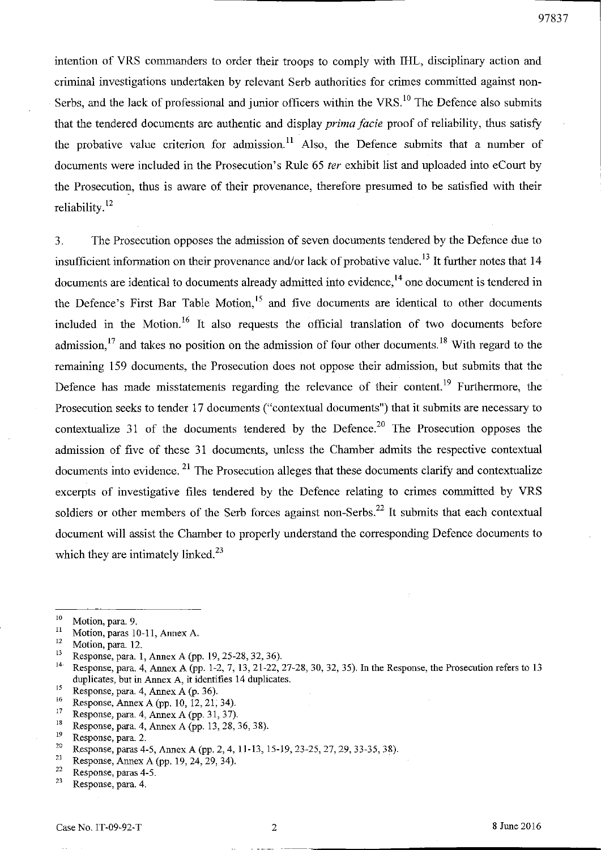intention of VRS commanders to order their troops to comply with IHL, disciplinary action and criminal investigations undertaken by relevant Serb authorities for crimes committed against non-Serbs, and the lack of professional and junior officers within the VRS.<sup>10</sup> The Defence also submits that the tendered documents are authentic and display *prima facie* proof of reliability, thus satisfy the probative value criterion for admission.<sup>11</sup> Also, the Defence submits that a number of documents were included in the Prosecution's Rule 65 fer exhibit list and uploaded into eCourt by the Prosecution, thus is aware of their provenance, therefore presumed to be satisfied with their reliability. $12$ 

3. The Prosecution opposes the admission of seven documents tendered by the Defence due to insufficient information on their provenance and/or lack of probative value. 13 It further notes that 14 documents are identical to documents already admitted into evidence,<sup>14</sup> one document is tendered in the Defence's First Bar Table Motion,<sup>15</sup> and five documents are identical to other documents included in the Motion.<sup>16</sup> It also requests the official translation of two documents before admission.<sup>17</sup> and takes no position on the admission of four other documents.<sup>18</sup> With regard to the remaining 159 documents, the Prosecution does not oppose their admission, but submits that the Defence has made misstatements regarding the relevance of their content.<sup>19</sup> Furthermore, the Prosecution seeks to tender 17 documents ("contextual documents") that it submits are necessary to contextualize 31 of the documents tendered by the Defence.<sup>20</sup> The Prosecution opposes the admission of five of these 31 documents, unless the Chamber admits the respective contextual documents into evidence.<sup>21</sup> The Prosecution alleges that these documents clarify and contextualize excerpts of investigative files tendered by the Defence relating to crimes committed by VRS soldiers or other members of the Serb forces against non-Serbs.<sup>22</sup> It submits that each contextual document will assist the Chamber to properly understand the corresponding Defence documents to which they are intimately linked.<sup>23</sup>

- 
- <sup>16</sup> Response, Annex A (pp. 10, 12, 21, 34).<br><sup>17</sup> Response, para A Anney A (pp. 31, 37).
- <sup>17</sup> Response, para. 4, Annex A (pp. 31, 37).<br><sup>18</sup> Response, para. 4, Annex A (pp. 13, 28).
- <sup>18</sup> Response, para. 4, Annex A (pp. 13, 28, 36, 38).<br>
<sup>19</sup> Perponse, para. 2

<sup>21</sup> Response, Annex A (pp. 19, 24, 29, 34).

 $\frac{10}{11}$  Motion, para. 9.

 $\frac{11}{12}$  Motion, paras 10-11, Annex A.

 $\frac{12}{13}$  Motion, para. 12.

<sup>&</sup>lt;sup>13</sup> Response, para. 1, Annex A (pp. 19, 25-28, 32, 36).<br><sup>14</sup> Perponse, para. 4, Annex A (pp. 1.2, 3.1.3.21.22)

Response, para. 4, Annex A (pp. 1-2, 7, 13, 21-22, 27-28, 30, 32, 35). In the Response, the Prosecution refers to 13 duplicates, but in Annex A, it identifies 14 duplicates.<br>
Response, para. 4, Annex A (p. 36).<br>
<sup>16</sup> Responses, Annex A (p. 19, 19, 21, 24).

 $19$  Response, para. 2.

<sup>&</sup>lt;sup>20</sup> Response, paras 4-5, Annex A (pp. 2, 4, 11-13, 15-19, 23-25, 27, 29, 33-35, 38).<br><sup>21</sup> Response, Annex A (pp. 10, 24, 29, 34).

 $\frac{22}{23}$  Response, paras 4-5.

Response, para. 4.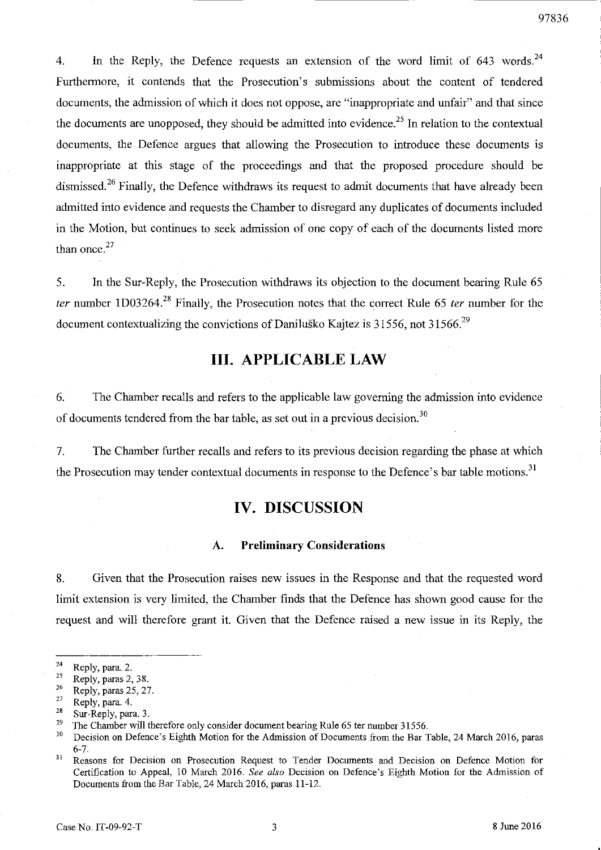4. In the Reply, the Defence requests an extension of the word limit of 643 words.<sup>24</sup> Furthermore, it contends that the Prosecution's submissions about the content of tendered documents, the admission of which it does not oppose, are "inappropriate and unfair" and that since the documents are unopposed, they should be admitted into evidence.<sup>25</sup> In relation to the contextual documents, the Defence argues that allowing the Prosecution to introduce these documents is inappropriate at this stage of the proceedings and that the proposed procedure should be dismissed.<sup>26</sup> Finally, the Defence withdraws its request to admit documents that have already been admitted into evidence and requests the Chamber to disregard any duplicates of documents included in the Motion, but continues to seek admission of one copy of each of the documents listed more than once. $27$ 

5. In the Sur-Reply, the Prosecution withdraws its objection to the document bearing Rule 65 *ter* number ID03264?8 Finally, the Prosecution notes that the correct Rule 65 *ter* number for the document contextualizing the convictions of Danilusko Kajtez is 31556, not 31566.<sup>29</sup>

# **Ill. APPLICABLE LAW**

6. The Chamber recalls and refers to the applicable law governing the admission into evidence of documents tendered from the bar table, as set out in a previous decision.<sup>30</sup>

7. The Chamber further recalls and refers to its previous decision regarding the phase at which the Prosecution may tender contextual documents in response to the Defence's bar table motions.<sup>31</sup>

# **IV. DISCUSSION**

### A. **Preliminary Considerations**

8. Given that the Prosecution raises new issues in the Response and that the requested word limit extension is very limited, the Chamber finds that the Defence has shown good cause for the request and will therefore grant it. Given that the Defence raised a new issue in its Reply, the

**<sup>24</sup> Reply, para. 2.** 

 $\frac{25}{26}$  Reply, paras 2, 38.

 $\frac{26}{27}$  Reply, paras 25, 27.

<sup>&</sup>lt;sup>27</sup> Reply, para. 4.

<sup>&</sup>lt;sup>28</sup> Sur-Reply, para. 3.<br><sup>29</sup> The Chamber will t

<sup>&</sup>lt;sup>29</sup> The Chamber will therefore only consider document bearing Rule 65 ter number 31556.<br><sup>30</sup> Desigion on Defence's Eighth Motion for the Admission of Designate from the Bea<sup>r</sup>

<sup>30</sup> Decision on Defence's Eighth Motion for the Admission of Documents from the Bar Table, 24 March 2016, paras 6-7.

<sup>&</sup>lt;sup>31</sup> Reasons for Decision on Prosecution Request to Tender Documents and Decision on Defence Motion for Certification to Appeal, 10 March 2016. *See also* Decision on Defence's Eighth Motion for the Admission of Documents from the Bar Table, 24 March 2016, paras 11-12.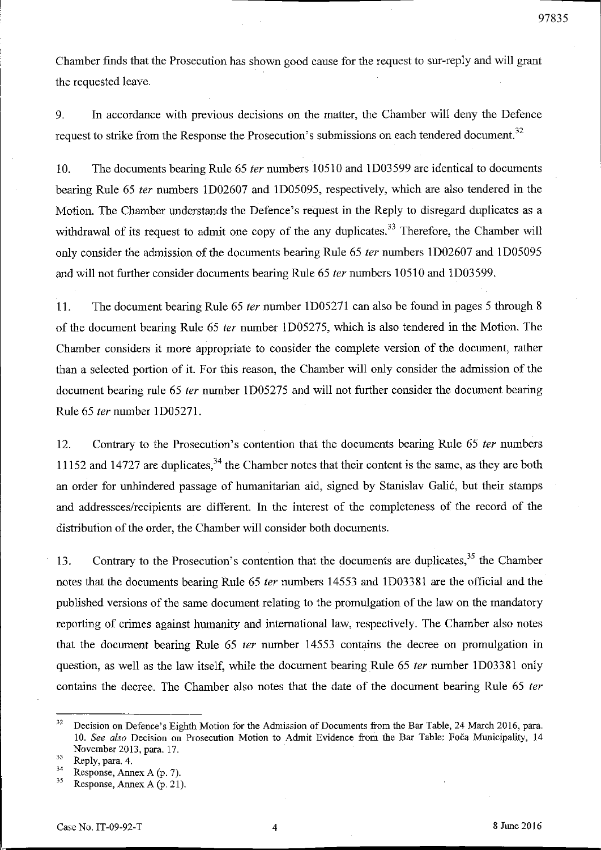Chamber finds that the Prosecution has shown good cause for the request to sur-reply and will grant

9. In accordance with previous decisions on the matter, the Chamber will deny the Defence request to strike from the Response the Prosecution's submissions on each tendered document.<sup>32</sup>

10. The documents bearing Rule 65 ter numbers 10510 and 1D03599 are identical to documents bearing Rule 65 *ter* numbers 1D02607 and 1D05095, respectively, which are also tendered in the Motion. The Chamber understands the Defence's request in the Reply to disregard duplicates as a withdrawal of its request to admit one copy of the any duplicates.<sup>33</sup> Therefore, the Chamber will only consider the admission of the documents bearing Rule 65 fer numbers lD02607 and lD05095 and will not further consider documents bearing Rule 65 fer numbers 10510 and ID03599.

11. The document bearing Rule 65 fer number ID05271 can also be found in pages 5 through 8 of the document bearing Rule 65 fer number ID05275, which is also tendered in the Motion. The Chamber considers it more appropriate to consider the complete version of the document, rather than a selected portion of it. For this reason, the Chamber will only consider the admission of the document bearing rule 65 ter number 1D05275 and will not further consider the document bearing Rule 65 fer number ID05271.

12. Contrary to the Prosecution's contention that the documents bearing Rule 65 ter numbers 11152 and 14727 are duplicates,  $34$  the Chamber notes that their content is the same, as they are both an order for unhindered passage of humanitarian aid, signed by Stanislav Gali6, but their stamps and addressees/recipients are different. In the interest of the completeness of the record of the distribution of the order, the Chamber will consider both documents.

13. Contrary to the Prosecution's contention that the documents are duplicates,  $35$  the Chamber notes that the documents bearing Rule 65 fer numbers 14553 and ID03381 are the official and the published versions of the same document relating to the promulgation of the law on the mandatory reporting of crimes against humanity and international law, respectively. The Chamber also notes that the document bearing Rule 65 *ter* number 14553 contains the decree on promulgation in question, as well as the law itself, while the document bearing Rule 65 ter number 1D03381 only contains the decree. The Chamber also notes that the date of the document bearing Rule 65 ter

the requested leave.

97835

<sup>&</sup>lt;sup>32</sup> Decision on Defence's Eighth Motion for the Admission of Documents from the Bar Table, 24 March 2016, para. *10. See also* Decision on Prosecution Motion to Admit Evidence from the Bar Table: Foca Municipality. 14 November 2013. para. 17.

 $rac{33}{34}$  Reply, para. 4.

<sup>&</sup>lt;sup>34</sup> Response, Annex A (p. 7).<br><sup>35</sup> Pernonse, Annex A (p. 21).

Response, Annex A (p. 21).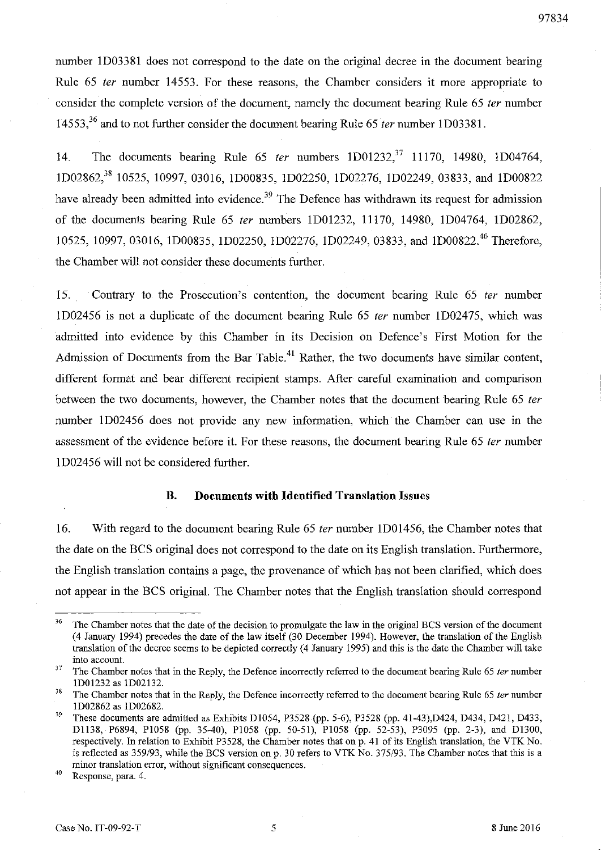number ID03381 does not correspond to the date on the original decree in the document bearing Rule 65 fer number 14553. For these reasons, the Chamber considers it more appropriate to consider the complete version of the document, namely the document bearing Rule 65 fer number 14553.<sup>36</sup> and to not further consider the document bearing Rule 65 *ter* number 1D03381.

14. The documents bearing Rule  $65$  *ter* numbers  $1D01232$ <sup>37</sup> 11170, 14980, 1D04764, ID02862,38 10525, 10997,03016, ID00835, ID02250, ID02276, ID02249, 03833, and ID00822 have already been admitted into evidence.<sup>39</sup> The Defence has withdrawn its request for admission of the documents bearing Rule 65 fer numbers ID01232, 11170, 14980, ID04764, ID02862, 10525, 10997, 03016, 1D00835, 1D02250, 1D02276, 1D02249, 03833, and 1D00822.<sup>40</sup> Therefore, the Chamber will not consider these documents further.

15. Contrary to the Prosecution's contention, the document bearing Rule 65 fer number 1D02456 is not a duplicate of the document bearing Rule 65 fer number 1D02475, which was admitted into evidence by this Chamber in its Decision on Defence's First Motion for the Admission of Documents from the Bar Table.<sup>41</sup> Rather, the two documents have similar content, different fonnat and bear different recipient stamps. After careful examination and comparison between the two documents, however, the Chamber notes that the document bearing Rule 65 ter number ID02456 does not provide any new infonnation, which the Chamber can use in the assessment of the evidence before it. For these reasons, the document bearing Rule 65 ter number 1D02456 will not be considered further.

#### **B. Documents with Identified Translation** Issues

16. With regard to the document bearing Rule 65 fer number 1D01456, the Chamber notes that the date on the BCS original does not correspond to the date on its English translation. Furthennore, the English translation contains a page, the provenance of which has not been clarified, which does not appear in the BCS original. The Chamber notes that the English translation should correspond

<sup>&</sup>lt;sup>36</sup> The Chamber notes that the date of the decision to promulgate the law in the original BCS version of the document (4 January 1994) precedes the date of the law itself (30 December 1994). However, the translation of the English translation of the decree seems to be depicted correctly (4 January 1995) and this is the date the Chamber will take **into account.** 

 $37$  The Chamber notes that in the Reply, the Defence incorrectly referred to the document bearing Rule 65 *ter* number 1D01232 as 1D02132.

 $38$  The Chamber notes that in the Reply, the Defence incorrectly referred to the document bearing Rule 65 *ter* number 1D02862 as 1D02682.

<sup>&</sup>lt;sup>39</sup> These documents are admitted as Exhibits D1054, P3528 (pp. 5-6), P3528 (pp. 41-43),D424, D434, D421, D433, D1l38, P6894, P1058 (pp. 35-40), P1058 (pp. 50-51), PI058 (pp. 52-53), P3095 (pp. 2-3), and Dl300, respectively. In relation to Exhibit P3528, the Chamber notes that on p. 41 of its English translation, the VTK No. is reflected as *359193,* while the BCS version on p. 30 refers to VTK No. *375/93.* The Chamber notes that this is a **minor translation error, without significant consequences.** 

**<sup>40</sup> Response, para. 4.**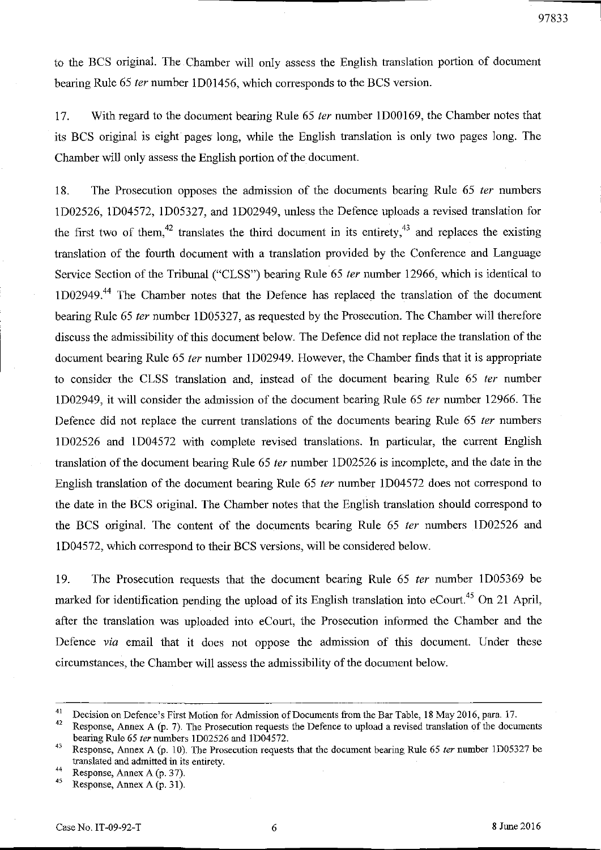to the BCS original. The Chamber will only assess the English translation portion of document bearing Rule 65 fer number 1D01456, which corresponds to the BCS version.

17. With regard to the document bearing Rule 65 fer number 1D00169, the Chamber notes that its BCS original is eight pages long, while the English translation is only two pages long. The Chamber will only assess the English portion of the document.

18. The Prosecution opposes the admission of the documents bearing Rule 65 *ter* numbers 1D02526, 1D04572, lD05327, and 1D02949, unless the Defence uploads a revised translation for the first two of them,<sup>42</sup> translates the third document in its entirety,<sup>43</sup> and replaces the existing translation of the fourth document with a translation provided by the Conference and Language Service Section of the Tribunal ("CLSS") bearing Rule 65 fer number 12966, which is identical to 1D02949.<sup>44</sup> The Chamber notes that the Defence has replaced the translation of the document bearing Rule 65 fer number 1D05327, as requested by the Prosecution. The Chamber will therefore discuss the admissibility of this document below. The Defence did not replace the translation of the document bearing Rule 65 *ter* number 1D02949. However, the Chamber finds that it is appropriate to consider the CLSS translation and, instead of the document bearing Rule 65 fer number 1D02949, it will consider the admission of the document bearing Rule 65 fer number 12966. The Defence did not replace the current translations of the documents bearing Rule 65 *ter* numbers 1D02526 and 1D04572 with complete revised translations. **In** particular, the current English translation of the document bearing Rule 65 fer number 1D02526 is incomplete, and the date in the English translation of the document bearing Rule 65 fer number 1D04572 does not correspond to the date in the BCS original. The Chamber notes that the English translation should correspond to the BCS original. The content of the documents bearing Rule 65 fer numbers ID02526 and ID04572, which correspond to their BCS versions, will be considered below.

19. The Prosecution requests that the document bearing Rule 65 fer number ID05369 be marked for identification pending the upload of its English translation into eCourt.<sup>45</sup> On 21 April, after the translation was uploaded into eCourt, the Prosecution informed the Chamber and the Defence via email that it does not oppose the admission of this document. Under these circumstances, the Chamber will assess the admissibility of the document below.

Response, Annex A (p. 7). The Prosecution requests the Defence to upload a revised translation of the documents bearing Rule 65 *ter* nwnhers ID02526 and ID04572.

<sup>&</sup>lt;sup>41</sup> Decision on Defence's First Motion for Admission of Documents from the Bar Table, 18 May 2016, para. 17.

<sup>43</sup> Response, Annex A (p. 10). The Prosecution requests that the docwnent bearing Rule 65 *ter* nmnber ID05327 be translated and admitted in its entirety.

 $^{44}$  Response, Annex A (p. 37).

Response, Annex A (p. 31).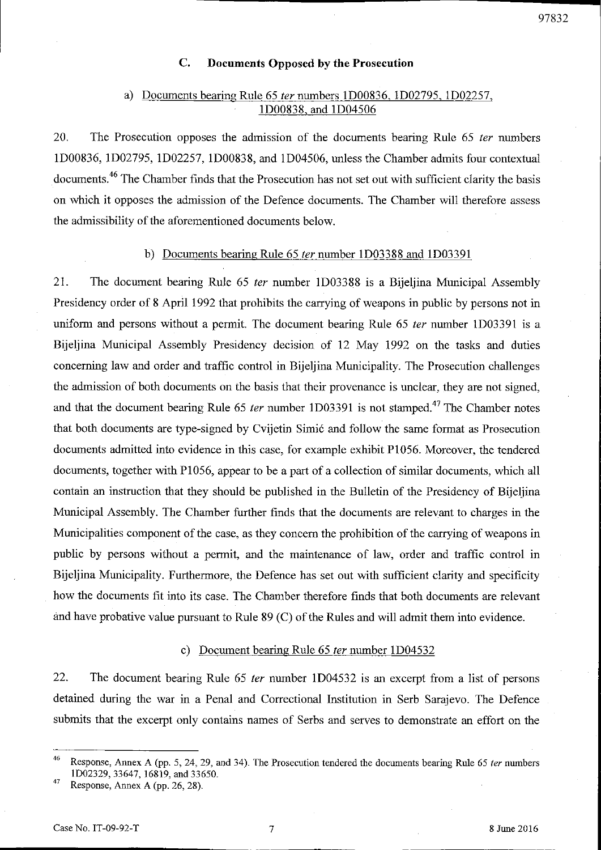### **C. Documents Opposed by the Prosecution**

## a) Documents bearing Rule 65 fer numbers ID00836, lD02795, lD02257, lD00838, and lD04506

20, The Prosecution opposes **the** admission of the documents bearing Rule 65 fer numbers lD00836, lD02795, lD02257, lD00838, and lD04506, unless the Chamber admits four contextual documents. 46 The Chamber finds that the Prosecution has not set out with sufficient clarity the basis on which it opposes the admission of the Defence documents. The Chamber will therefore assess the admissibility of the aforementioned documents below.

## b) Documents bearing Rule 65 *ter* number 1D03388 and 1D03391

21. The document bearing Rule 65 fer number ID03388 is a Bijeljina Municipal Assembly Presidency order of 8 April 1992 that prohibits the carrying of weapons in public by persons not in uniform and persons without a permit. The document bearing Rule 65 ter number 1D03391 is a Bijeljina Municipal Assembly Presidency decision of 12 May 1992 on the tasks and duties concerning law and order and traffic control in Bijeljina Municipality. The Prosecution challenges the admission of both documents on the basis that their provenance is unclear, they are not signed, and that the document bearing Rule 65 *ter* number 1D03391 is not stamped.<sup>47</sup> The Chamber notes that both documents are type-signed by Cvijetin Simi6 and follow the same format as Prosecution documents admitted into evidence in this case, for example exhibit P1056. Moreover, the tendered documents, together with PI056, appear to be a part of a collection of similar documents, which all contain an instruction that they should be published in the Bulletin of the Presidency of Bijeljina Municipal Assembly. The Chamber further finds that the documents are relevant to charges in the Municipalities component of the case, as they concern the prohibition of the carrying of weapons in public by persons without a permit, and the maintenance of law, order and traffic control in Bijeljina Municipality. Furthermore, the Defence has set out with sufficient clarity and specificity how the documents fit into its case. The Chamber therefore finds that both documents are relevant and have probative value pursuant to Rule  $89$  (C) of the Rules and will admit them into evidence.

### c) Document bearing Rule 65 *ter* number 1D04532

22. The document bearing Rule 65 fer number ID04532 is an excerpt from a list of persons detained during the war in a Penal and Correctional Institution in Serb Sarajevo. The Defence submits that the excerpt only contains names of Serbs and serves to demonstrate an effort on the

<sup>46</sup>R esponse, Annex A (pp. 5, 24, 29, and 34). The Prosecution tendered the documents bearing Rule 65 *ter* numbers 1002329,33647, 16819, and 33650.

<sup>&</sup>lt;sup>47</sup> Response, Annex A (pp. 26, 28).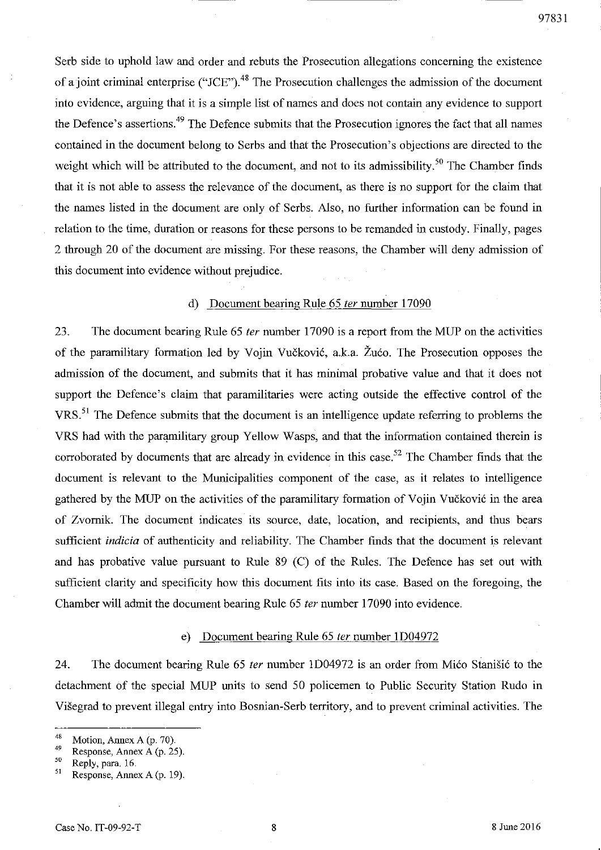Serb side to uphold law and order and rebuts the Prosecution allegations concerning the existence of a joint criminal enterprise ("JCE").<sup>48</sup> The Prosecution challenges the admission of the document into evidence, arguing that it is a simple list of names and does not contain any evidence to support the Defence's assertions.<sup>49</sup> The Defence submits that the Prosecution ignores the fact that all names contained in the document belong to Serbs and that the Prosecution's objections are directed to the weight which will be attributed to the document, and not to its admissibility.<sup>50</sup> The Chamber finds that it is not able to assess the relevance of the document, as there is no support for the claim that the names listed in the document are only of Serbs. Also, no further information can be found in relation to the time, duration or reasons for these persons to be remanded in custody. Finally, pages 2 through 20 of the document are missing. For these reasons, the Chamber will deny admission of this document into evidence without prejudice.

### d) Document bearing Rule 65 fer number 17090

23. The document bearing Rule 65 *ter* number 17090 is a report from the MUP on the activities of the paramilitary formation led by Vojin Vuckovic, a.k.a. Zuco. The Prosecution opposes the admission of the document, and submits that it has minimal probative value and that it does not support the Defence's claim that paramilitaries were acting outside the effective control of the VRS.<sup>51</sup> The Defence submits that the document is an intelligence update referring to problems the VRS had with the paramilitary group Yellow Wasps, and that the information contained therein is corroborated by documents that are already in evidence in this case.<sup>52</sup> The Chamber finds that the document is relevant to the Municipalities component of the case, as it relates to intelligence gathered by the MUP on the activities of the paramilitary formation of Vojin Vuckovic in the area of Zvornik. The document indicates its source, date, location, and recipients, and thus bears sufficient *indicia* of authenticity and reliability. The Chamber fmds that the document is relevant and has probative value pursuant to Rule 89 (C) of the Rules. The Defence has set out with sufficient clarity and specificity how this document fits into its case. Based on the foregoing, the Chamber will admit the document bearing Rule 65 fer number 17090 into evidence.

### e) Document bearing Rule 65 ter number 1D04972

24. The document bearing Rule 65 fer number ID04972 is an order from Mico Stanisic to the detachment of the special MUP units to send 50 policemen to Public Security Station Rudo in Visegrad to prevent illegal entry into Bosnian-Serb territory, and to prevent criminal activities. The

<sup>48</sup> Motion, Annex A (p. 70).

 $^{49}$  Response, Annex A (p. 25).

**<sup>50</sup> Reply, para. 16.** 

Response, Annex A (p. 19).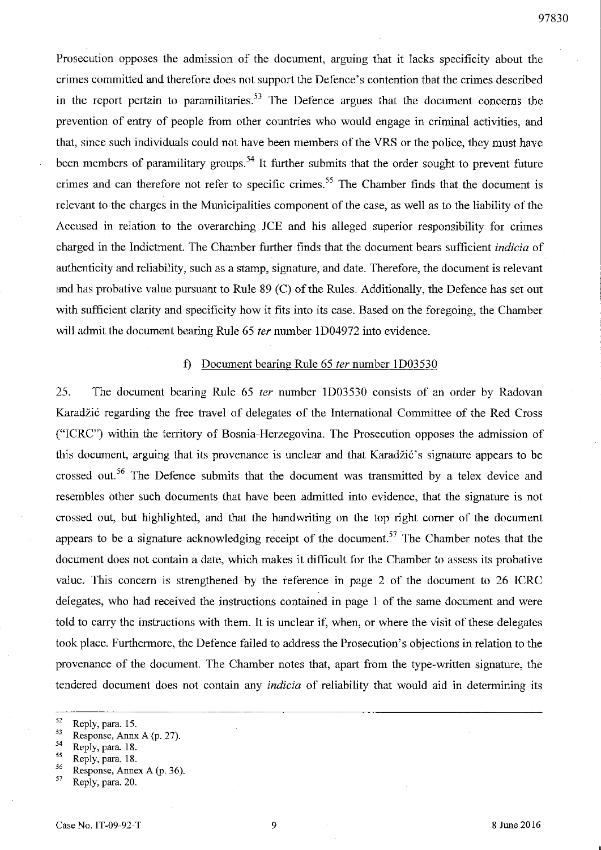Prosecution opposes the admission of the document, arguing that it lacks specificity about the crimes committed and therefore does not support the Defence's contention that the crimes described in the report pertain to paramilitaries.<sup>53</sup> The Defence argues that the document concerns the prevention of entry of people from other countries who would engage in criminal activities, and that, since such individuals could not have been members of the VRS or the police, they must have been members of paramilitary groups.<sup>54</sup> It further submits that the order sought to prevent future crimes and can therefore not refer to specific crimes.<sup>55</sup> The Chamber finds that the document is relevant to the charges in the Municipalities component of the case, as well as to the liability of the Accused in relation to the overarching *ICE* and his alleged superior responsibility for crimes charged in the Indictment. The Chamber further finds that the document bears sufficient *indicia* of authenticity and reliability, such as a stamp, signature, and date. Therefore, the document is relevant and has probative value pursuant to Rule 89 (C) of the Rules. Additionally, the Defence has set out with sufficient clarity and specificity how it fits into its case. Based on the foregoing, the Chamber will admit the document bearing Rule 65 *ter* number 1D04972 into evidence.

### f) Document bearing Rule 65 *ter* number 1D03530

25. The document bearing Rule 65 ter number 1D03530 consists of an order by Radovan Karadžić regarding the free travel of delegates of the International Committee of the Red Cross ("ICRC") within the territory of Bosnia-Herzegovina. The Prosecution opposes the admission of this document, arguing that its provenance is unclear and that Karadžić's signature appears to be crossed out.<sup>56</sup> The Defence submits that the document was transmitted by a telex device and resembles other such documents that have been admitted into evidence, that the signature is not crossed out, but highlighted, and that the handwriting on the top right corner of the document appears to be a signature acknowledging receipt of the document.<sup>57</sup> The Chamber notes that the document does not contain a date, which makes it difficult for the Chamber to assess its probative value. This concern is strengthened by the reference in page 2 of the document to 26 ICRC delegates, who had received the instructions contained in page 1 of the same document and were told to carry the instructions with them. It is unclear if, when, or where the visit of these delegates took place. Furthermore, the Defence failed to address the Prosecution's objections in relation to the provenance of the document. The Chamber notes that, apart from the type-written signature, the tendered document does not contain any *indicia* of reliability that would aid in determining its

 $^{56}$  Response, Annex A (p. 36).<br> $^{57}$  Reply para 20

<sup>52</sup> **Reply, para. 15.** 

 $^{53}$  Response, Annx A (p. 27).

<sup>54</sup> **Reply, para. 18.** 

<sup>55</sup>**Reply, para. 18.** 

<sup>57</sup> **Reply, para. 20.**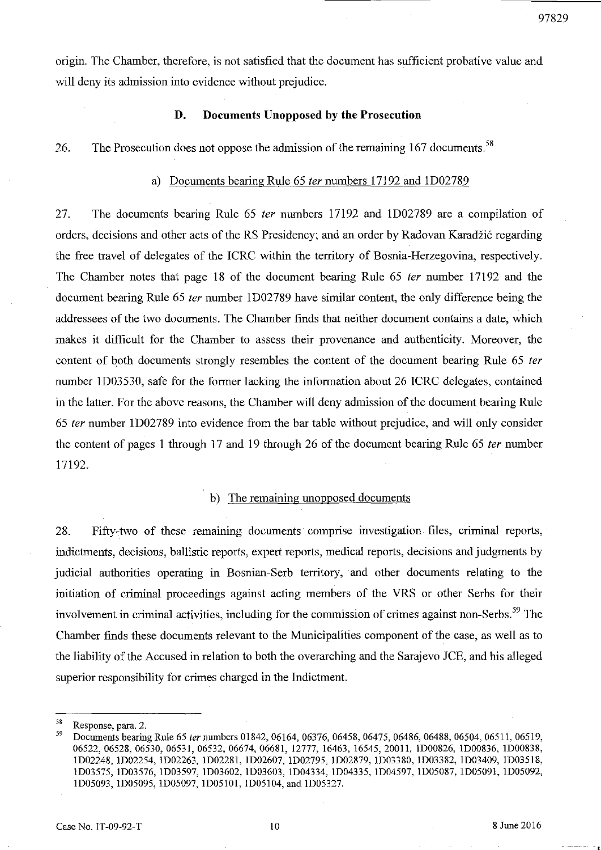origin. The Chamber, therefore, is not satisfied that the document has sufficient probative value and will deny its admission into evidence without prejudice.

### **D. Documents Unopposed by the Prosecution**

26. The Prosecution does not oppose the admission of the remaining 167 documents.<sup>58</sup>

#### a) Documents bearing Rule 65 fer numbers 17192 and ID02789

27. The docwnents bearing Rule 65 fer numbers 17192 and ID02789 are a compilation of orders, decisions and other acts of the RS Presidency; and an order by Radovan Karadžić regarding the free travel of delegates of the ICRC within the territory of Bosnia-Herzegovina, respectively. The Chamber notes that page 18 of the document bearing Rule 65 *ter* number 17192 and the document bearing Rule 65 ter number 1D02789 have similar content, the only difference being the addressees of the two documents. The Chamber finds that neither docwnent contains a date, which makes it difficult for the Chamber to assess their provenance and authenticity. Moreover, the content of both documents strongly resembles the content of the document bearing Rule 65 ter number 1D03530, safe for the former lacking the information about 26 ICRC delegates, contained in the latter. For the above reasons, the Chamber will deny admission of the document bearing Rule *65* fer number ID02789 into evidence from the bar table without prejudice, and will only consider the content of pages 1 through 17 and 19 through 26 of the document bearing Rule 65 *ter* number 17192.

### b) The remaining unopposed documents

28. Fifty-two of these remaining documents comprise investigation files, criminal reports, indictments, decisions, ballistic reports, expert reports, medical reports, decisions and judgments by judicial authorities operating in Bosnian-Serb territory, and other docwnents relating to the initiation of criminal proceedings against acting members of the VRS or other Serbs for their involvement in criminal activities, including for the commission of crimes against non-Serbs.<sup>59</sup> The Chamber fmds these docwnents relevant to the Municipalities component of the case, as well as to the liability of the Accused in relation to both the overarching and the Sarajevo lCE, and his alleged superior responsibility for crimes charged in the Indictment.

 $58$  Response, para. 2.

<sup>59</sup> Documents bearing Rule 65 *ter* numbers 01842, 06164, 06376, 06458, 06475, 06486, 06488, 06504, 06511, 06519, 06522, 06528, 06530, 06531, 06532, 06674, 06681, 12777, 16463, 16545, 20011, 1D00826, 1D00836, 1D00838, 1002248,1002254,1002263,1002281,1002607,1002795, 1002879, 1003380, 1003382, 1003409, 1003518, 1003575, 1003576, 1003597, 1003602, 1003603, 1004334, 1004335, 1004597, 1005087, 1005091, 1005092, 1005093,1005095, 1005097, 1005101, 1005104, and 1005327.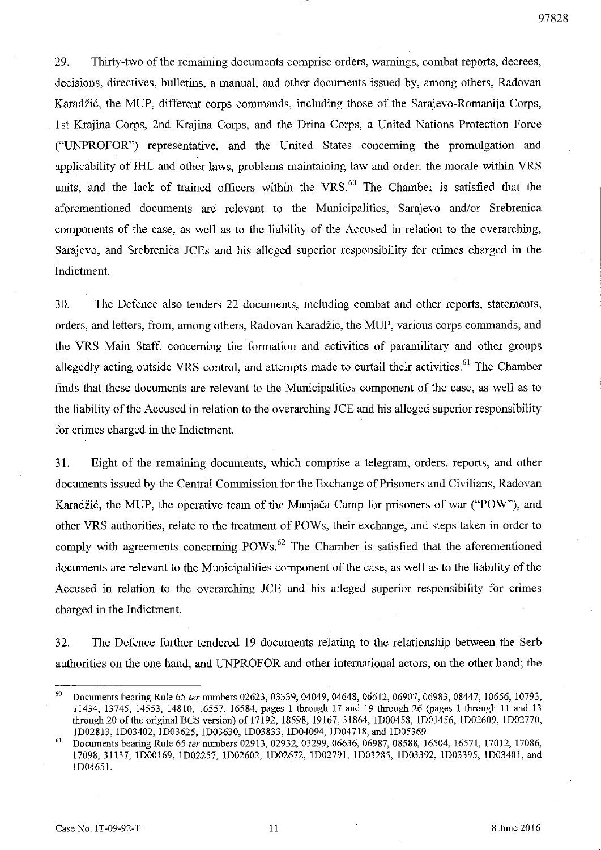97828

29. Thirty-two of the remaining documents comprise orders, warnings, combat reports, decrees, decisions, directives, bulletins, a manual, and other documents issued by, among others, Radovan Karadžić, the MUP, different corps commands, including those of the Sarajevo-Romanija Corps, 1st Krajina Corps, 2nd Krajina Corps, and the Drina Corps, a United Nations Protection Force ("UNPROFOR") representative, and the United States concerning the promulgation and applicability of IHL and other laws, problems maintaining law and order, the morale within VRS units, and the lack of trained officers within the VRS. $^{60}$  The Chamber is satisfied that the aforementioned documents are relevant to the Municipalities, Sarajevo and/or Srebrenica components of the case, as well as to the liability of the Accused in relation to the overarching, Sarajevo, and Srebrenica ICEs and his alleged superior responsibility for crimes charged in the Indictment.

30. The Defence also tenders 22 documents, including combat and other reports, statements, orders, and letters, from, among others, Radovan Karadzi6, the MUP, various corps commands, and the VRS Main Staff, concerning the formation and activities of paramilitary and other groups allegedly acting outside VRS control, and attempts made to curtail their activities.<sup>61</sup> The Chamber finds that these documents are relevant to the Municipalities component of the case, as well as to the liability of the Accused in relation to the overarching *JCE* and his alleged superior responsibility for crimes charged in the Indictment.

31. Eight of the remaining documents, which comprise a telegram, orders, reports, and other documents issued by the Central Commission for the Exchange of Prisoners and Civilians, Radovan Karadžić, the MUP, the operative team of the Manjača Camp for prisoners of war ("POW"), and other VRS authorities, relate to the treatment of POWs, their exchange, and steps taken in order to comply with agreements concerning  $POWs<sup>62</sup>$ . The Chamber is satisfied that the aforementioned documents are relevant to the Municipalities component of the case, as well as to the liability of the Accused in relation to the overarching *ICE* and his alleged superior responsibility for crimes charged in the Indictment.

32. The Defence further tendered 19 documents relating to the relationship between the Serb authorities on the one hand, and UNPROFOR and other international actors, on the other hand; the

<sup>&</sup>lt;sup>60</sup> Documents bearing Rule 65 ter numbers 02623, 03339, 04049, 04648, 06612, 06907, 06983, 08447, 10656, 10793, 11434, 13745, 14553, 14810, 16557, 16584, pages 1 througb 17 and 19 througb 26 (pages I througb 11 and 13 through 20 of the original BCS version) of 17192, 18598, 19167, 31864, 1D00458, 1D01456, 1D02609, 1D02770, lD02813, lD03402, lD03625, lD03630, lD03833, lD04094, lD04718, and lD05369.

Documents bearing Rule 65 ter numbers 02913, 02932, 03299, 06636, 06987, 08588, 16504, 16571, 17012, 17086, 17098,31137, lD00169, lD02257, lD02602, lD02672, lD02791, lD03285, lD03392, lD03395, lD03401, and lD0465J.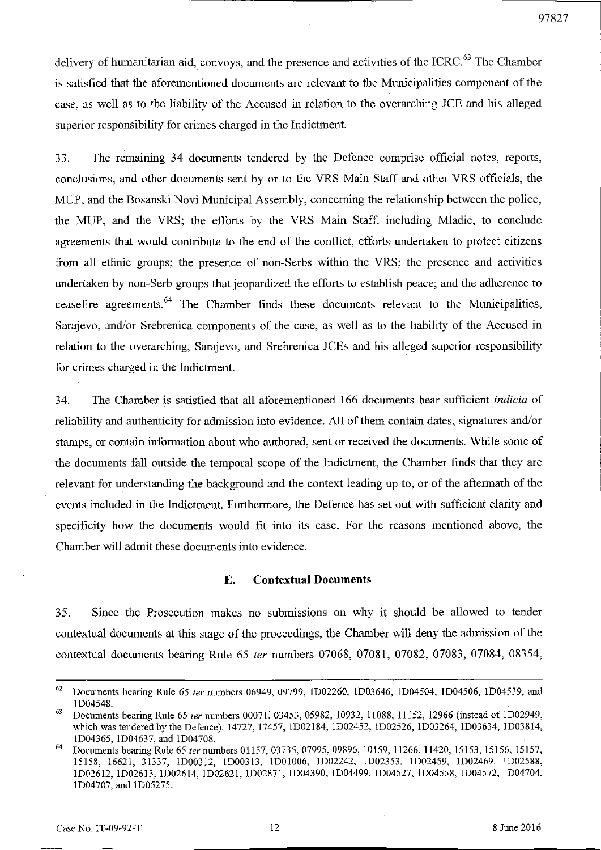delivery of humanitarian aid, convoys, and the presence and activities of the ICRC.<sup>63</sup> The Chamber is satisfied that the aforementioned documents are relevant to the Municipalities component of the case, as well as to the liability of the Accused in relation to the overarching *lCE* and his alleged superior responsibility for crimes charged in the Indictment.

33. The remaining 34 documents tendered by the Defence comprise official notes, reports, conclusions, and other docmnents sent by or to the VRS Main Staff and other VRS officials, the MUP, and the Bosanski Novi Municipal Assembly, concerning the relationship between the police, the MUP, and the VRS; the efforts by the VRS Main Staff, including Mladic, to conclude agreements that would contribute to the end of the conflict, efforts undertaken to protect citizens from all ethnic groups; the presence of non-Serbs within the VRS; the presence and activities undertaken by non-Serb groups that jeopardized the efforts to establish peace; and the adherence to ceasefire agreements.<sup>64</sup> The Chamber finds these documents relevant to the Municipalities, Sarajevo, and/or Srebrenica components of the case, as well as to the liability of the Accused in relation to the overarching, Sarajevo, and Srebrenica *lCEs* and his alleged superior responsibility for crimes charged in the Indictment.

34. The Chamber is satisfied that all aforementioned 166 documents bear sufficient *indicia* of reliability and authenticity for admission into evidence. All of them contain dates, signatures and/or stamps, or contain information about who authored, sent or received the documents. While some of the docmnents fall outside the temporal scope of the Indictment, the Chamber finds that they are relevant for understanding the background and the context leading up to, or of the aftermath of the events included in the Indictment. Furthermore, the Defence has set out with sufficient clarity and specificity how the docmnents would fit into its case. For the reasons mentioned above, the Chamber will admit these documents into evidence.

### **E. Contextual Documents**

35. Since the Prosecution makes no submissions **on** why it should be allowed to tender contextual docmnents at this stage of the proceedings, the Chamber will deny the admission of the contextual documents bearing Rule 65 ter numbers 07068, 07081, 07082, 07083, 07084, 08354,

97827

 $62$  Documents bearing Rule 65 ter numbers 06949, 09799, 1D02260, 1D03646, 1D04504, 1D04506, 1D04539, and ID04548.

<sup>&</sup>lt;sup>63</sup> Documents bearing Rule 65 ter numbers 00071, 03453, 05982, 10932, 11088, 11152, 12966 (instead of 1D02949, which was tendered by the Defence), 14727, 17457, ID02184, ID02452, ID02526, ID03264, ID03634, ID03814, ID04365, ID04637, and ID04708.

<sup>&</sup>lt;sup>64</sup> Documents bearing Rule 65 ter numbers 01157, 03735, 07995, 09896, 10159, 11266, 11420, 15153, 15156, 15157, 15158, 16621, 31337, ID00312, ID00313, IDOJ006, ID02242, ID02353, ID02459, ID02469, ID02588, ID02612, ID02613, ID02614, ID02621, ID02871, ID04390, ID04499, ID04527, ID04558, ID04572, ID04704, ID04707, and ID05275.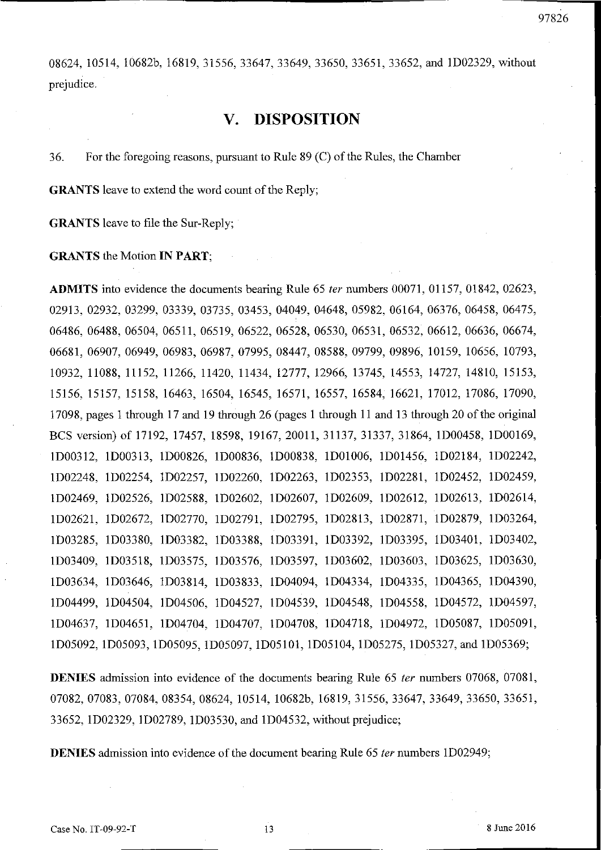08624, 10514, 10682b, 16819, 31556, 33647, 33649, 33650, 33651, 33652, and 1D02329, without prejudice.

## **v. DISPOSITION**

36. For the foregoing reasons, pursuant to Rule 89 Cc) of the Rules, the Chamber

**GRANTS** leave to extend the word count of the Reply;

**GRANTS** leave to file the Sur-Reply;

### **GRANTS** the Motion **IN PART;**

**ADMITS** into evidence the documents bearing Rule 65 fer numbers 00071, 01157, 01842, 02623, 02913, 02932, 03299, 03339, 03735, 03453, 04049, 04648, 05982, 06164, 06376, 06458, 06475, 06486,06488,06504,06511,06519,06522,06528,06530, 06531, 06532, 06612, 06636, 06674, 06681, 06907, 06949, 06983, 06987, 07995, 08447, 08588, 09799, 09896, 10159, 10656, 10793, 10932,11088,11152,11266,11420,11434,12777,12966,13745, 14553, 14727, 14810, 15153, 15156,15157,15158,16463,16504, 16545, 16571, 16557, 16584, 16621, 17012, 17086, 17090, 17098, pages 1 through 17 and 19 through 26 (pages 1 through 11 and 13 through 20 of the original BCS version) of 17192, 17457, 18598, 19167, 20011, 31137, 31337, 31864, 1D00458, 1D00169, lD00312, lD00313, lD00826, lD00836, lD00838, lD01006, lD01456, lD02184, lD02242, lD02248, lD02254, lD02257, lD02260, lD02263, lD02353, lD02281, lD02452, lD02459, lD02469, lD02526, lD02588, lD02602, lD02607, lD02609, lD02612, lD02613, lD02614, lD02621, lD02672, lD02770, lD02791, lD02795, lD02813, lD02871, lD02879, lD03264, lD03285, lD03380, lD03382, lD03388, lD03391, lD03392, lD03395, lD03401, lD03402, lD03409, lD03518, lD03575, lD03576, lD03597, lD03602, lD03603, lD03625, lD03630, lD03634, lD03646, lD03814, lD03833, lD04094, lD04334, lD04335, lD04365, lD04390, lD04499, lD04504, lD04506, lD04527, lD04539, lD04548, lD04558, lD04572, lD04597, lD04637, lD04651, lD04704, lD04707, lD04708, lD04718, lD04972, lD05087, lD05091, lD05092, lD05093, lD05095, lD05097, lD05101, lD05104, lD05275, lD05327, and lD05369;

**DENIES** admission into evidence of the documents bearing Rule 65 ter numbers 07068, 07081, 07082, 07083, 07084, 08354, 08624, 10514, 10682b, 16819, 31556, 33647, 33649, 33650, 33651, 33652, lD02329, lD02789, lD03530, and lD04532, without prejudice;

**DENIES** admission into evidence of the document bearing Rule 65 *ter* numbers 1D02949;